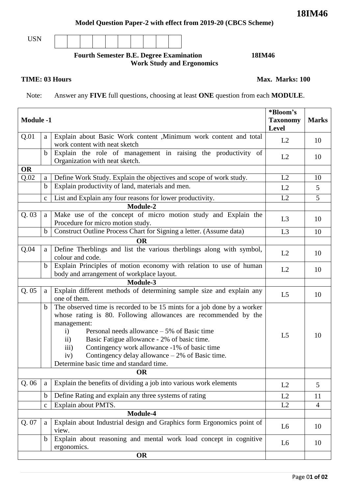Page 0**1 of 02**

### **Model Question Paper-2 with effect from 2019-20 (CBCS Scheme)**

USN

## **Fourth Semester B.E. Degree Examination 18IM46 Work Study and Ergonomics**

### **TIME: 03 Hours Max. Marks: 100**

Note: Answer any **FIVE** full questions, choosing at least **ONE** question from each **MODULE**.

| <b>Module -1</b> |              |                                                                                                                                                                                                                                                                                                                                                                                                                                                                       | *Bloom's<br><b>Taxonomy</b><br><b>Level</b> | <b>Marks</b>   |
|------------------|--------------|-----------------------------------------------------------------------------------------------------------------------------------------------------------------------------------------------------------------------------------------------------------------------------------------------------------------------------------------------------------------------------------------------------------------------------------------------------------------------|---------------------------------------------|----------------|
| Q.01             | a            | Explain about Basic Work content , Minimum work content and total<br>work content with neat sketch                                                                                                                                                                                                                                                                                                                                                                    | L2                                          | 10             |
|                  | $\mathbf b$  | Explain the role of management in raising the productivity of<br>Organization with neat sketch.                                                                                                                                                                                                                                                                                                                                                                       | L2                                          | 10             |
| <b>OR</b>        |              |                                                                                                                                                                                                                                                                                                                                                                                                                                                                       |                                             |                |
| Q.02             | a            | Define Work Study. Explain the objectives and scope of work study.                                                                                                                                                                                                                                                                                                                                                                                                    | L2                                          | 10             |
|                  | $\mathbf b$  | Explain productivity of land, materials and men.                                                                                                                                                                                                                                                                                                                                                                                                                      | L2                                          | 5              |
|                  | $\mathbf C$  | List and Explain any four reasons for lower productivity.                                                                                                                                                                                                                                                                                                                                                                                                             | L2                                          | 5              |
|                  |              | Module-2                                                                                                                                                                                                                                                                                                                                                                                                                                                              |                                             |                |
| Q.03             | a            | Make use of the concept of micro motion study and Explain the<br>Procedure for micro motion study.                                                                                                                                                                                                                                                                                                                                                                    | L <sub>3</sub>                              | 10             |
|                  | $\mathbf b$  | Construct Outline Process Chart for Signing a letter. (Assume data)                                                                                                                                                                                                                                                                                                                                                                                                   | L3                                          | 10             |
|                  |              | <b>OR</b>                                                                                                                                                                                                                                                                                                                                                                                                                                                             |                                             |                |
| Q.04             | a            | Define Therblings and list the various therblings along with symbol,<br>colour and code.                                                                                                                                                                                                                                                                                                                                                                              | L2                                          | 10             |
|                  | $\mathbf b$  | Explain Principles of motion economy with relation to use of human<br>body and arrangement of workplace layout.                                                                                                                                                                                                                                                                                                                                                       | L2                                          | 10             |
|                  |              | Module-3                                                                                                                                                                                                                                                                                                                                                                                                                                                              |                                             |                |
| Q.05             | a            | Explain different methods of determining sample size and explain any<br>one of them.                                                                                                                                                                                                                                                                                                                                                                                  | L <sub>5</sub>                              | 10             |
|                  | b            | The observed time is recorded to be 15 mints for a job done by a worker<br>whose rating is 80. Following allowances are recommended by the<br>management:<br>Personal needs allowance $-5\%$ of Basic time<br>$\mathbf{i}$<br>Basic Fatigue allowance - 2% of basic time.<br>$\mathbf{ii}$<br>Contingency work allowance -1% of basic time<br>$\overline{iii}$<br>Contingency delay allowance $-2\%$ of Basic time.<br>iv)<br>Determine basic time and standard time. | L <sub>5</sub>                              | 10             |
|                  |              | <b>OR</b>                                                                                                                                                                                                                                                                                                                                                                                                                                                             |                                             |                |
| Q.06             | a            | Explain the benefits of dividing a job into various work elements                                                                                                                                                                                                                                                                                                                                                                                                     | L2                                          | 5              |
|                  | $\mathbf b$  | Define Rating and explain any three systems of rating                                                                                                                                                                                                                                                                                                                                                                                                                 | L2                                          | 11             |
|                  | $\mathbf{C}$ | Explain about PMTS.                                                                                                                                                                                                                                                                                                                                                                                                                                                   | L2                                          | $\overline{4}$ |
| Module-4         |              |                                                                                                                                                                                                                                                                                                                                                                                                                                                                       |                                             |                |
| Q. 07            | a            | Explain about Industrial design and Graphics form Ergonomics point of<br>view.                                                                                                                                                                                                                                                                                                                                                                                        | L <sub>6</sub>                              | 10             |
|                  | $\mathbf b$  | Explain about reasoning and mental work load concept in cognitive<br>ergonomics.                                                                                                                                                                                                                                                                                                                                                                                      | L <sub>6</sub>                              | 10             |
|                  |              | <b>OR</b>                                                                                                                                                                                                                                                                                                                                                                                                                                                             |                                             |                |